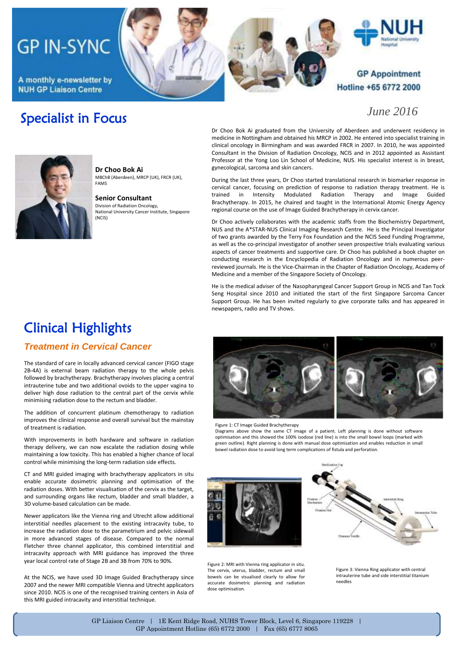# **GP IN-SYNC**

A monthly e-newsletter by **NUH GP Liaison Centre** 

Specialist in Focus





### **GP Appointment** Hotline +65 6772 2000

### *June 2016*



**Dr Choo Bok Ai** MBChB (Aberdeen), MRCP (UK), FRCR (UK), FAMS

**Senior Consultant**  Division of Radiation Oncology, National University Cancer Institute, Singapore (NCIS)

Dr Choo Bok Ai graduated from the University of Aberdeen and underwent residency in medicine in Nottingham and obtained his MRCP in 2002. He entered into specialist training in clinical oncology in Birmingham and was awarded FRCR in 2007. In 2010, he was appointed Consultant in the Division of Radiation Oncology, NCIS and in 2012 appointed as Assistant Professor at the Yong Loo Lin School of Medicine, NUS. His specialist interest is in breast, gynecological, sarcoma and skin cancers.

During the last three years, Dr Choo started translational research in biomarker response in cervical cancer, focusing on prediction of response to radiation therapy treatment. He is<br>trained in Intensity Modulated Radiation Therapy and Image Guided in Intensity Modulated Radiation Therapy and Image Guided Brachytherapy. In 2015, he chaired and taught in the International Atomic Energy Agency regional course on the use of Image Guided Brachytherapy in cervix cancer.

Dr Choo actively collaborates with the academic staffs from the Biochemistry Department, NUS and the A\*STAR-NUS Clinical Imaging Research Centre. He is the Principal Investigator of two grants awarded by the Terry Fox Foundation and the NCIS Seed Funding Programme, as well as the co-principal investigator of another seven prospective trials evaluating various aspects of cancer treatments and supportive care. Dr Choo has published a book chapter on conducting research in the Encyclopedia of Radiation Oncology and in numerous peerreviewed journals. He is the Vice-Chairman in the Chapter of Radiation Oncology, Academy of Medicine and a member of the Singapore Society of Oncology.

He is the medical adviser of the Nasopharyngeal Cancer Support Group in NCIS and Tan Tock Seng Hospital since 2010 and initiated the start of the first Singapore Sarcoma Cancer Support Group. He has been invited regularly to give corporate talks and has appeared in newspapers, radio and TV shows.

# Clinical Highlights

### *Treatment in Cervical Cancer*

The standard of care in locally advanced cervical cancer (FIGO stage 2B-4A) is external beam radiation therapy to the whole pelvis followed by brachytherapy. Brachytherapy involves placing a central intrauterine tube and two additional ovoids to the upper vagina to deliver high dose radiation to the central part of the cervix while minimising radiation dose to the rectum and bladder.

The addition of concurrent platinum chemotherapy to radiation improves the clinical response and overall survival but the mainstay of treatment is radiation.

With improvements in both hardware and software in radiation therapy delivery, we can now escalate the radiation dosing while maintaining a low toxicity. This has enabled a higher chance of local control while minimising the long-term radiation side effects.

CT and MRI guided imaging with brachytherapy applicators in situ enable accurate dosimetric planning and optimisation of the radiation doses. With better visualisation of the cervix as the target, and surrounding organs like rectum, bladder and small bladder, a 3D volume-based calculation can be made.

Newer applicators like the Vienna ring and Utrecht allow additional interstitial needles placement to the existing intracavity tube, to increase the radiation dose to the parametrium and pelvic sidewall in more advanced stages of disease. Compared to the normal Fletcher three channel applicator, this combined interstitial and intracavity approach with MRI guidance has improved the three year local control rate of Stage 2B and 3B from 70% to 90%.

At the NCIS, we have used 3D Image Guided Brachytherapy since 2007 and the newer MRI compatible Vienna and Utrecht applicators since 2010. NCIS is one of the recognised training centers in Asia of this MRI guided intracavity and interstitial technique.



Figure 1: CT Image Guided Brachytherapy

Diagrams above show the same CT image of a patient. Left planning is done without software optimisation and this showed the 100% isodose (red line) is into the small bowel loops (marked with green outline). Right planning is done with manual dose optimisation and enables reduction in small bowel radiation dose to avoid long term complications of fistula and perforation.



Figure 2: MRI with Vienna ring applicator in situ. The cervix, uterus, bladder, rectum and small bowels can be visualised clearly to allow for accurate dosimetric planning and radiation dose optimisation.



Figure 3: Vienna Ring applicator with central intrauterine tube and side interstitial titanium needles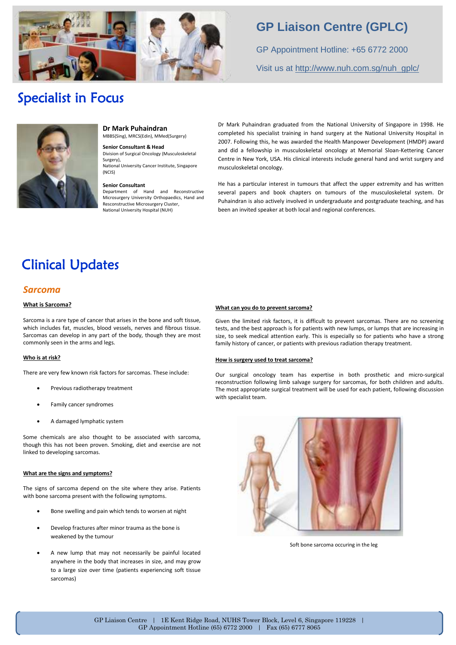

# **GP Liaison Centre (GPLC)**

GP Appointment Hotline: +65 6772 2000 Visit us at [http://www.nuh.com.sg/nuh\\_gplc/](http://www.nuh.com.sg/nuh_gplc/)

# Specialist in Focus



**Dr Mark Puhaindran** MBBS(Sing), MRCS(Edin), MMed(Surgery)

**Senior Consultant & Head**

Division of Surgical Oncology (Musculoskeletal Surgery), National University Cancer Institute, Singapore (NCIS)

#### **Senior Consultant**

Department of Hand and Reconstructive Microsurgery University Orthopaedics, Hand and Resconstructive Microsurgery Cluster, National University Hospital (NUH)

Dr Mark Puhaindran graduated from the National University of Singapore in 1998. He completed his specialist training in hand surgery at the National University Hospital in 2007. Following this, he was awarded the Health Manpower Development (HMDP) award and did a fellowship in musculoskeletal oncology at Memorial Sloan-Kettering Cancer Centre in New York, USA. His clinical interests include general hand and wrist surgery and musculoskeletal oncology.

He has a particular interest in tumours that affect the upper extremity and has written several papers and book chapters on tumours of the musculoskeletal system. Dr Puhaindran is also actively involved in undergraduate and postgraduate teaching, and has been an invited speaker at both local and regional conferences.

# Clinical Updates

### *Sarcoma*

#### **What is Sarcoma?**

Sarcoma is a rare type of cancer that arises in the bone and soft tissue, which includes fat, muscles, blood vessels, nerves and fibrous tissue. Sarcomas can develop in any part of the body, though they are most commonly seen in the arms and legs.

#### **Who is at risk?**

There are very few known risk factors for sarcomas. These include:

- Previous radiotherapy treatment
- Family cancer syndromes
- A damaged lymphatic system

Some chemicals are also thought to be associated with sarcoma, though this has not been proven. Smoking, diet and exercise are not linked to developing sarcomas.

#### **What are the signs and symptoms?**

The signs of sarcoma depend on the site where they arise. Patients with bone sarcoma present with the following symptoms.

- Bone swelling and pain which tends to worsen at night
- Develop fractures after minor trauma as the bone is weakened by the tumour
- A new lump that may not necessarily be painful located anywhere in the body that increases in size, and may grow to a large size over time (patients experiencing soft tissue sarcomas)

#### **What can you do to prevent sarcoma?**

Given the limited risk factors, it is difficult to prevent sarcomas. There are no screening tests, and the best approach is for patients with new lumps, or lumps that are increasing in size, to seek medical attention early. This is especially so for patients who have a strong family history of cancer, or patients with previous radiation therapy treatment.

#### **How is surgery used to treat sarcoma?**

Our surgical oncology team has expertise in both prosthetic and micro-surgical reconstruction following limb salvage surgery for sarcomas, for both children and adults. The most appropriate surgical treatment will be used for each patient, following discussion with specialist team.



Soft bone sarcoma occuring in the leg